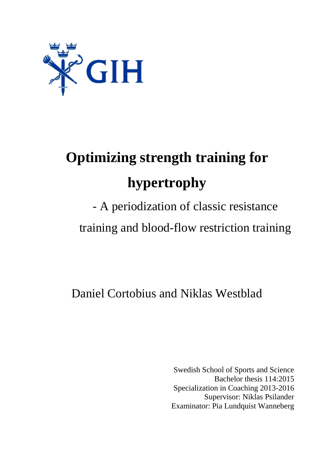

# **Optimizing strength training for hypertrophy**

# - A periodization of classic resistance training and blood-flow restriction training

Daniel Cortobius and Niklas Westblad

Swedish School of Sports and Science Bachelor thesis 114:2015 Specialization in Coaching 2013-2016 Supervisor: Niklas Psilander Examinator: Pia Lundquist Wanneberg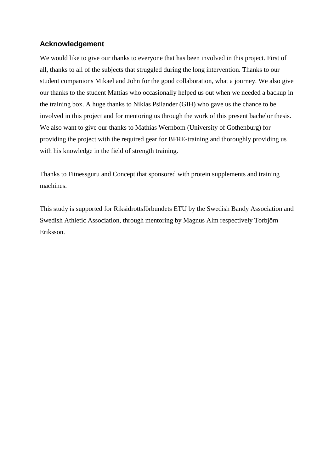## **Acknowledgement**

We would like to give our thanks to everyone that has been involved in this project. First of all, thanks to all of the subjects that struggled during the long intervention. Thanks to our student companions Mikael and John for the good collaboration, what a journey. We also give our thanks to the student Mattias who occasionally helped us out when we needed a backup in the training box. A huge thanks to Niklas Psilander (GIH) who gave us the chance to be involved in this project and for mentoring us through the work of this present bachelor thesis. We also want to give our thanks to Mathias Wernbom (University of Gothenburg) for providing the project with the required gear for BFRE-training and thoroughly providing us with his knowledge in the field of strength training.

Thanks to Fitnessguru and Concept that sponsored with protein supplements and training machines.

This study is supported for Riksidrottsförbundets ETU by the Swedish Bandy Association and Swedish Athletic Association, through mentoring by Magnus Alm respectively Torbjörn Eriksson.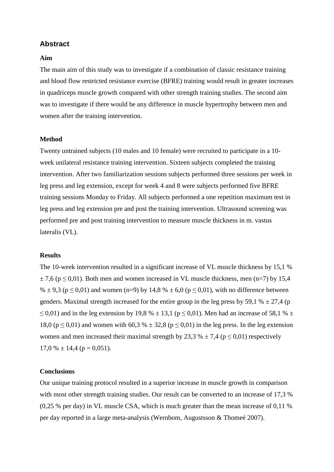## **Abstract**

#### **Aim**

The main aim of this study was to investigate if a combination of classic resistance training and blood flow restricted resistance exercise (BFRE) training would result in greater increases in quadriceps muscle growth compared with other strength training studies. The second aim was to investigate if there would be any difference in muscle hypertrophy between men and women after the training intervention.

#### **Method**

Twenty untrained subjects (10 males and 10 female) were recruited to participate in a 10 week unilateral resistance training intervention. Sixteen subjects completed the training intervention. After two familiarization sessions subjects performed three sessions per week in leg press and leg extension, except for week 4 and 8 were subjects performed five BFRE training sessions Monday to Friday. All subjects performed a one repetition maximum test in leg press and leg extension pre and post the training intervention. Ultrasound screening was performed pre and post training intervention to measure muscle thickness in m. vastus lateralis (VL).

#### **Results**

The 10-week intervention resulted in a significant increase of VL muscle thickness by 15,1 %  $\pm$  7,6 (p  $\leq$  0,01). Both men and women increased in VL muscle thickness, men (n=7) by 15,4 %  $\pm$  9,3 (p  $\leq$  0,01) and women (n=9) by 14,8 %  $\pm$  6,0 (p  $\leq$  0,01), with no difference between genders. Maximal strength increased for the entire group in the leg press by 59,1 %  $\pm$  27,4 (p  $\leq$  0,01) and in the leg extension by 19,8 %  $\pm$  13,1 (p  $\leq$  0,01). Men had an increase of 58,1 %  $\pm$ 18,0 ( $p \le 0.01$ ) and women with 60,3 %  $\pm$  32,8 ( $p \le 0.01$ ) in the leg press. In the leg extension women and men increased their maximal strength by 23,3 %  $\pm$  7,4 (p < 0,01) respectively  $17.0 \% \pm 14.4$  (p = 0.051).

#### **Conclusions**

Our unique training protocol resulted in a superior increase in muscle growth in comparison with most other strength training studies. Our result can be converted to an increase of 17,3 % (0,25 % per day) in VL muscle CSA, which is much greater than the mean increase of 0,11 % per day reported in a large meta-analysis (Wernbom, Augustsson & Thomeé 2007).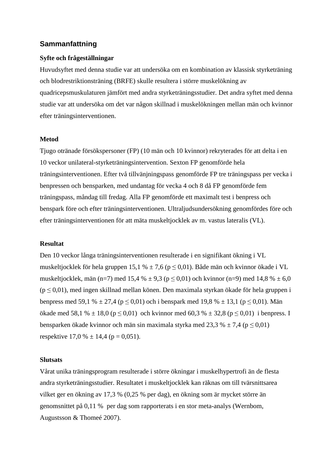#### **Sammanfattning**

#### **Syfte och frågeställningar**

Huvudsyftet med denna studie var att undersöka om en kombination av klassisk styrketräning och blodrestriktionsträning (BRFE) skulle resultera i större muskelökning av quadricepsmuskulaturen jämfört med andra styrketräningsstudier. Det andra syftet med denna studie var att undersöka om det var någon skillnad i muskelökningen mellan män och kvinnor efter träningsinterventionen.

#### **Metod**

Tjugo otränade försökspersoner (FP) (10 män och 10 kvinnor) rekryterades för att delta i en 10 veckor unilateral-styrketräningsintervention. Sexton FP genomförde hela träningsinterventionen. Efter två tillvänjningspass genomförde FP tre träningspass per vecka i benpressen och bensparken, med undantag för vecka 4 och 8 då FP genomförde fem träningspass, måndag till fredag. Alla FP genomförde ett maximalt test i benpress och benspark före och efter träningsinterventionen. Ultraljudsundersökning genomfördes före och efter träningsinterventionen för att mäta muskeltjocklek av m. vastus lateralis (VL).

#### **Resultat**

Den 10 veckor långa träningsinterventionen resulterade i en signifikant ökning i VL muskeltjocklek för hela gruppen 15,1 %  $\pm$  7,6 (p  $\leq$  0,01). Både män och kvinnor ökade i VL muskeltjocklek, män (n=7) med 15,4 %  $\pm$  9,3 (p  $\leq$  0,01) och kvinnor (n=9) med 14,8 %  $\pm$  6,0  $(p \le 0.01)$ , med ingen skillnad mellan könen. Den maximala styrkan ökade för hela gruppen i benpress med 59,1 %  $\pm$  27,4 (p  $\leq$  0,01) och i benspark med 19,8 %  $\pm$  13,1 (p  $\leq$  0,01). Män ökade med 58,1 % ± 18,0 (p ≤ 0,01) och kvinnor med 60,3 % ± 32,8 (p ≤ 0,01) i benpress. I bensparken ökade kvinnor och män sin maximala styrka med 23,3 %  $\pm$  7,4 (p  $\leq$  0,01) respektive  $17.0 \% \pm 14.4$  (p = 0,051).

#### **Slutsats**

Vårat unika träningsprogram resulterade i större ökningar i muskelhypertrofi än de flesta andra styrketräningsstudier. Resultatet i muskeltjocklek kan räknas om till tvärsnittsarea vilket ger en ökning av 17,3 % (0,25 % per dag), en ökning som är mycket större än genomsnittet på 0,11 % per dag som rapporterats i en stor meta-analys (Wernbom, Augustsson & Thomeé 2007).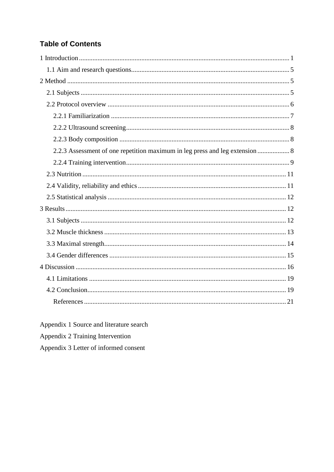# **Table of Contents**

| 2.2.3 Assessment of one repetition maximum in leg press and leg extension  8 |
|------------------------------------------------------------------------------|
|                                                                              |
|                                                                              |
|                                                                              |
|                                                                              |
|                                                                              |
|                                                                              |
|                                                                              |
|                                                                              |
|                                                                              |
|                                                                              |
|                                                                              |
|                                                                              |
|                                                                              |

Appendix 1 Source and literature search

Appendix 2 Training Intervention

Appendix 3 Letter of informed consent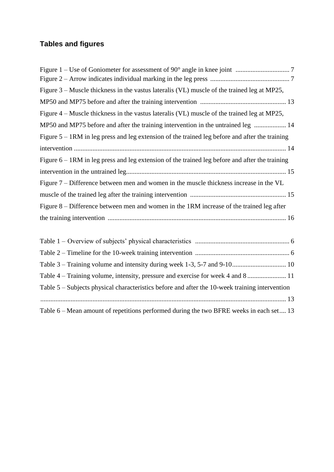# **Tables and figures**

| Figure 3 – Muscle thickness in the vastus lateralis (VL) muscle of the trained leg at MP25,       |  |
|---------------------------------------------------------------------------------------------------|--|
|                                                                                                   |  |
| Figure 4 – Muscle thickness in the vastus lateralis (VL) muscle of the trained leg at MP25,       |  |
| MP50 and MP75 before and after the training intervention in the untrained leg  14                 |  |
| Figure $5 - 1$ RM in leg press and leg extension of the trained leg before and after the training |  |
|                                                                                                   |  |
| Figure $6 - 1$ RM in leg press and leg extension of the trained leg before and after the training |  |
|                                                                                                   |  |
| Figure 7 – Difference between men and women in the muscle thickness increase in the VL            |  |
|                                                                                                   |  |
| Figure $8$ – Difference between men and women in the 1RM increase of the trained leg after        |  |
|                                                                                                   |  |
|                                                                                                   |  |

| Table 5 – Subjects physical characteristics before and after the 10-week training intervention |  |
|------------------------------------------------------------------------------------------------|--|
|                                                                                                |  |
| Table 6 – Mean amount of repetitions performed during the two BFRE weeks in each set 13        |  |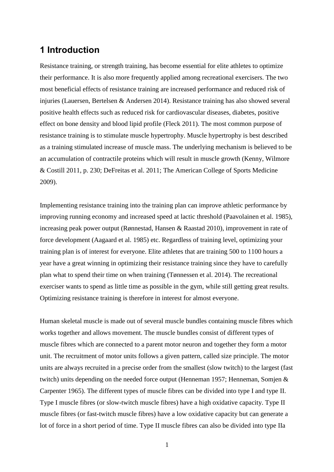# <span id="page-6-0"></span>**1 Introduction**

Resistance training, or strength training, has become essential for elite athletes to optimize their performance. It is also more frequently applied among recreational exercisers. The two most beneficial effects of resistance training are increased performance and reduced risk of injuries (Lauersen, Bertelsen & Andersen 2014). Resistance training has also showed several positive health effects such as reduced risk for cardiovascular diseases, diabetes, positive effect on bone density and blood lipid profile (Fleck 2011). The most common purpose of resistance training is to stimulate muscle hypertrophy. Muscle hypertrophy is best described as a training stimulated increase of muscle mass. The underlying mechanism is believed to be an accumulation of contractile proteins which will result in muscle growth (Kenny, Wilmore & Costill 2011, p. 230; DeFreitas et al. 2011; The American College of Sports Medicine 2009).

Implementing resistance training into the training plan can improve athletic performance by improving running economy and increased speed at lactic threshold (Paavolainen et al. 1985), increasing peak power output (Rønnestad, Hansen & Raastad 2010), improvement in rate of force development (Aagaard et al. 1985) etc. Regardless of training level, optimizing your training plan is of interest for everyone. Elite athletes that are training 500 to 1100 hours a year have a great winning in optimizing their resistance training since they have to carefully plan what to spend their time on when training (Tønnessen et al. 2014). The recreational exerciser wants to spend as little time as possible in the gym, while still getting great results. Optimizing resistance training is therefore in interest for almost everyone.

Human skeletal muscle is made out of several muscle bundles containing muscle fibres which works together and allows movement. The muscle bundles consist of different types of muscle fibres which are connected to a parent motor neuron and together they form a motor unit. The recruitment of motor units follows a given pattern, called size principle. The motor units are always recruited in a precise order from the smallest (slow twitch) to the largest (fast twitch) units depending on the needed force output (Henneman 1957; Henneman, Somjen & Carpenter 1965). The different types of muscle fibres can be divided into type I and type II. Type I muscle fibres (or slow-twitch muscle fibres) have a high oxidative capacity. Type II muscle fibres (or fast-twitch muscle fibres) have a low oxidative capacity but can generate a lot of force in a short period of time. Type II muscle fibres can also be divided into type IIa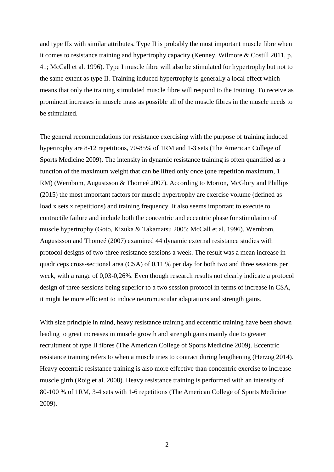and type IIx with similar attributes. Type II is probably the most important muscle fibre when it comes to resistance training and hypertrophy capacity (Kenney, Wilmore & Costill 2011, p. 41; McCall et al. 1996). Type I muscle fibre will also be stimulated for hypertrophy but not to the same extent as type II. Training induced hypertrophy is generally a local effect which means that only the training stimulated muscle fibre will respond to the training. To receive as prominent increases in muscle mass as possible all of the muscle fibres in the muscle needs to be stimulated.

The general recommendations for resistance exercising with the purpose of training induced hypertrophy are 8-12 repetitions, 70-85% of 1RM and 1-3 sets (The American College of Sports Medicine 2009). The intensity in dynamic resistance training is often quantified as a function of the maximum weight that can be lifted only once (one repetition maximum, 1 RM) (Wernbom, Augustsson & Thomeé 2007). According to Morton, McGlory and Phillips (2015) the most important factors for muscle hypertrophy are exercise volume (defined as load x sets x repetitions) and training frequency. It also seems important to execute to contractile failure and include both the concentric and eccentric phase for stimulation of muscle hypertrophy (Goto, Kizuka & Takamatsu 2005; McCall et al. 1996). Wernbom, Augustsson and Thomeé (2007) examined 44 dynamic external resistance studies with protocol designs of two-three resistance sessions a week. The result was a mean increase in quadriceps cross-sectional area (CSA) of 0,11 % per day for both two and three sessions per week, with a range of 0,03-0,26%. Even though research results not clearly indicate a protocol design of three sessions being superior to a two session protocol in terms of increase in CSA, it might be more efficient to induce neuromuscular adaptations and strength gains.

With size principle in mind, heavy resistance training and eccentric training have been shown leading to great increases in muscle growth and strength gains mainly due to greater recruitment of type II fibres (The American College of Sports Medicine 2009). Eccentric resistance training refers to when a muscle tries to contract during lengthening (Herzog 2014). Heavy eccentric resistance training is also more effective than concentric exercise to increase muscle girth (Roig et al. 2008). Heavy resistance training is performed with an intensity of 80-100 % of 1RM, 3-4 sets with 1-6 repetitions (The American College of Sports Medicine 2009).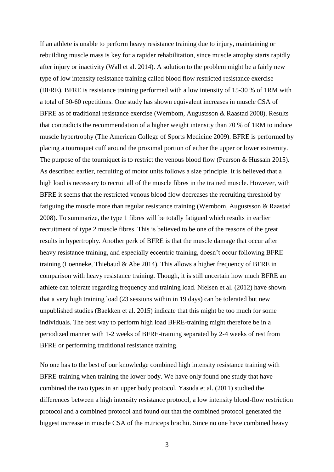If an athlete is unable to perform heavy resistance training due to injury, maintaining or rebuilding muscle mass is key for a rapider rehabilitation, since muscle atrophy starts rapidly after injury or inactivity (Wall et al. 2014). A solution to the problem might be a fairly new type of low intensity resistance training called blood flow restricted resistance exercise (BFRE). BFRE is resistance training performed with a low intensity of 15-30 % of 1RM with a total of 30-60 repetitions. One study has shown equivalent increases in muscle CSA of BFRE as of traditional resistance exercise (Wernbom, Augustsson & Raastad 2008). Results that contradicts the recommendation of a higher weight intensity than 70 % of 1RM to induce muscle hypertrophy (The American College of Sports Medicine 2009). BFRE is performed by placing a tourniquet cuff around the proximal portion of either the upper or lower extremity. The purpose of the tourniquet is to restrict the venous blood flow (Pearson & Hussain 2015). As described earlier, recruiting of motor units follows a size principle. It is believed that a high load is necessary to recruit all of the muscle fibres in the trained muscle. However, with BFRE it seems that the restricted venous blood flow decreases the recruiting threshold by fatiguing the muscle more than regular resistance training (Wernbom, Augustsson & Raastad 2008). To summarize, the type 1 fibres will be totally fatigued which results in earlier recruitment of type 2 muscle fibres. This is believed to be one of the reasons of the great results in hypertrophy. Another perk of BFRE is that the muscle damage that occur after heavy resistance training, and especially eccentric training, doesn't occur following BFREtraining (Loenneke, Thiebaud & Abe 2014). This allows a higher frequency of BFRE in comparison with heavy resistance training. Though, it is still uncertain how much BFRE an athlete can tolerate regarding frequency and training load. Nielsen et al. (2012) have shown that a very high training load (23 sessions within in 19 days) can be tolerated but new unpublished studies (Baekken et al. 2015) indicate that this might be too much for some individuals. The best way to perform high load BFRE-training might therefore be in a periodized manner with 1-2 weeks of BFRE-training separated by 2-4 weeks of rest from BFRE or performing traditional resistance training.

No one has to the best of our knowledge combined high intensity resistance training with BFRE-training when training the lower body. We have only found one study that have combined the two types in an upper body protocol. Yasuda et al. (2011) studied the differences between a high intensity resistance protocol, a low intensity blood-flow restriction protocol and a combined protocol and found out that the combined protocol generated the biggest increase in muscle CSA of the m.triceps brachii. Since no one have combined heavy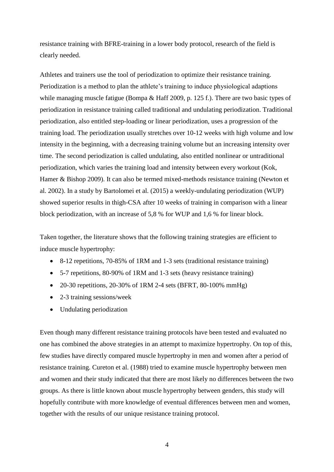resistance training with BFRE-training in a lower body protocol, research of the field is clearly needed.

Athletes and trainers use the tool of periodization to optimize their resistance training. Periodization is a method to plan the athlete's training to induce physiological adaptions while managing muscle fatigue (Bompa & Haff 2009, p. 125 f.). There are two basic types of periodization in resistance training called traditional and undulating periodization. Traditional periodization, also entitled step-loading or linear periodization, uses a progression of the training load. The periodization usually stretches over 10-12 weeks with high volume and low intensity in the beginning, with a decreasing training volume but an increasing intensity over time. The second periodization is called undulating, also entitled nonlinear or untraditional periodization, which varies the training load and intensity between every workout (Kok, Hamer & Bishop 2009). It can also be termed mixed-methods resistance training (Newton et al. 2002). In a study by Bartolomei et al. (2015) a weekly-undulating periodization (WUP) showed superior results in thigh-CSA after 10 weeks of training in comparison with a linear block periodization, with an increase of 5,8 % for WUP and 1,6 % for linear block.

Taken together, the literature shows that the following training strategies are efficient to induce muscle hypertrophy:

- 8-12 repetitions, 70-85% of 1RM and 1-3 sets (traditional resistance training)
- 5-7 repetitions, 80-90% of 1RM and 1-3 sets (heavy resistance training)
- 20-30 repetitions,  $20-30\%$  of 1RM 2-4 sets (BFRT, 80-100% mmHg)
- 2-3 training sessions/week
- Undulating periodization

Even though many different resistance training protocols have been tested and evaluated no one has combined the above strategies in an attempt to maximize hypertrophy. On top of this, few studies have directly compared muscle hypertrophy in men and women after a period of resistance training. Cureton et al. (1988) tried to examine muscle hypertrophy between men and women and their study indicated that there are most likely no differences between the two groups. As there is little known about muscle hypertrophy between genders, this study will hopefully contribute with more knowledge of eventual differences between men and women, together with the results of our unique resistance training protocol.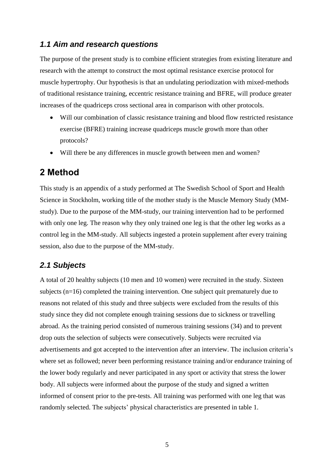## <span id="page-10-0"></span>*1.1 Aim and research questions*

The purpose of the present study is to combine efficient strategies from existing literature and research with the attempt to construct the most optimal resistance exercise protocol for muscle hypertrophy. Our hypothesis is that an undulating periodization with mixed-methods of traditional resistance training, eccentric resistance training and BFRE, will produce greater increases of the quadriceps cross sectional area in comparison with other protocols.

- Will our combination of classic resistance training and blood flow restricted resistance exercise (BFRE) training increase quadriceps muscle growth more than other protocols?
- Will there be any differences in muscle growth between men and women?

## <span id="page-10-1"></span>**2 Method**

This study is an appendix of a study performed at The Swedish School of Sport and Health Science in Stockholm, working title of the mother study is the Muscle Memory Study (MMstudy). Due to the purpose of the MM-study, our training intervention had to be performed with only one leg. The reason why they only trained one leg is that the other leg works as a control leg in the MM-study. All subjects ingested a protein supplement after every training session, also due to the purpose of the MM-study.

## <span id="page-10-2"></span>*2.1 Subjects*

A total of 20 healthy subjects (10 men and 10 women) were recruited in the study. Sixteen subjects (n=16) completed the training intervention. One subject quit prematurely due to reasons not related of this study and three subjects were excluded from the results of this study since they did not complete enough training sessions due to sickness or travelling abroad. As the training period consisted of numerous training sessions (34) and to prevent drop outs the selection of subjects were consecutively. Subjects were recruited via advertisements and got accepted to the intervention after an interview. The inclusion criteria's where set as followed; never been performing resistance training and/or endurance training of the lower body regularly and never participated in any sport or activity that stress the lower body. All subjects were informed about the purpose of the study and signed a written informed of consent prior to the pre-tests. All training was performed with one leg that was randomly selected. The subjects' physical characteristics are presented in table 1.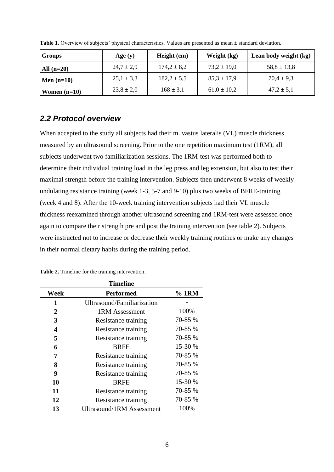| <b>Groups</b>  | Age $(y)$      | Height (cm)     | Weight (kg)     | Lean body weight (kg) |
|----------------|----------------|-----------------|-----------------|-----------------------|
| All $(n=20)$   | $24.7 \pm 2.9$ | $174.2 \pm 8.2$ | $73.2 \pm 19.0$ | $58.8 \pm 13.8$       |
| Men $(n=10)$   | $25,1 \pm 3,3$ | $182.2 \pm 5.5$ | $85,3 \pm 17,9$ | $70.4 \pm 9.3$        |
| Women $(n=10)$ | $23,8 \pm 2,0$ | $168 \pm 3,1$   | $61,0 \pm 10,2$ | $47.2 \pm 5.1$        |

Table 1. Overview of subjects' physical characteristics. Values are presented as mean ± standard deviation.

## <span id="page-11-0"></span>*2.2 Protocol overview*

When accepted to the study all subjects had their m. vastus lateralis (VL) muscle thickness measured by an ultrasound screening. Prior to the one repetition maximum test (1RM), all subjects underwent two familiarization sessions. The 1RM-test was performed both to determine their individual training load in the leg press and leg extension, but also to test their maximal strength before the training intervention. Subjects then underwent 8 weeks of weekly undulating resistance training (week 1-3, 5-7 and 9-10) plus two weeks of BFRE-training (week 4 and 8). After the 10-week training intervention subjects had their VL muscle thickness reexamined through another ultrasound screening and 1RM-test were assessed once again to compare their strength pre and post the training intervention (see table 2). Subjects were instructed not to increase or decrease their weekly training routines or make any changes in their normal dietary habits during the training period.

| Timeline |                                  |         |  |  |
|----------|----------------------------------|---------|--|--|
| Week     | Performed                        | $%$ 1RM |  |  |
| 1        | Ultrasound/Familiarization       |         |  |  |
| 2        | <b>1RM Assessment</b>            | 100%    |  |  |
| 3        | Resistance training              | 70-85 % |  |  |
| 4        | Resistance training              | 70-85 % |  |  |
| 5        | Resistance training              | 70-85 % |  |  |
| 6        | <b>BRFE</b>                      | 15-30 % |  |  |
| 7        | Resistance training              | 70-85 % |  |  |
| 8        | Resistance training              | 70-85 % |  |  |
| 9        | Resistance training              | 70-85 % |  |  |
| 10       | <b>BRFE</b>                      | 15-30 % |  |  |
| 11       | Resistance training              | 70-85 % |  |  |
| 12       | Resistance training              | 70-85 % |  |  |
| 13       | <b>Ultrasound/1RM Assessment</b> | 100%    |  |  |

**Table 2.** Timeline for the training intervention.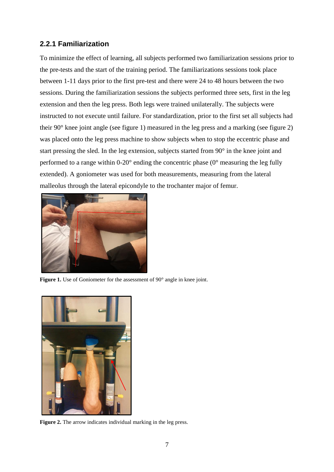## <span id="page-12-0"></span>**2.2.1 Familiarization**

To minimize the effect of learning, all subjects performed two familiarization sessions prior to the pre-tests and the start of the training period. The familiarizations sessions took place between 1-11 days prior to the first pre-test and there were 24 to 48 hours between the two sessions. During the familiarization sessions the subjects performed three sets, first in the leg extension and then the leg press. Both legs were trained unilaterally. The subjects were instructed to not execute until failure. For standardization, prior to the first set all subjects had their 90° knee joint angle (see figure 1) measured in the leg press and a marking (see figure 2) was placed onto the leg press machine to show subjects when to stop the eccentric phase and start pressing the sled. In the leg extension, subjects started from 90° in the knee joint and performed to a range within 0-20° ending the concentric phase (0° measuring the leg fully extended). A goniometer was used for both measurements, measuring from the lateral malleolus through the lateral epicondyle to the trochanter major of femur.



**Figure 1.** Use of Goniometer for the assessment of 90° angle in knee joint.



**Figure 2.** The arrow indicates individual marking in the leg press.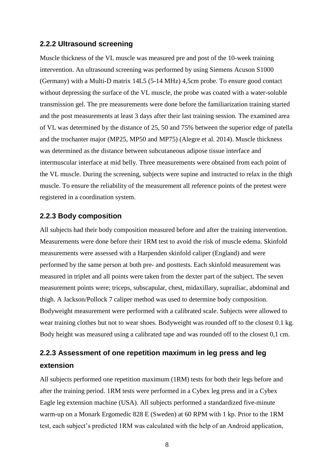#### <span id="page-13-0"></span>**2.2.2 Ultrasound screening**

Muscle thickness of the VL muscle was measured pre and post of the 10-week training intervention. An ultrasound screening was performed by using Siemens Acuson S1000 (Germany) with a Multi-D matrix 14L5 (5-14 MHz) 4,5cm probe. To ensure good contact without depressing the surface of the VL muscle, the probe was coated with a water-soluble transmission gel. The pre measurements were done before the familiarization training started and the post measurements at least 3 days after their last training session. The examined area of VL was determined by the distance of 25, 50 and 75% between the superior edge of patella and the trochanter major (MP25, MP50 and MP75) (Alegre et al. 2014). Muscle thickness was determined as the distance between subcutaneous adipose tissue interface and intermuscular interface at mid belly. Three measurements were obtained from each point of the VL muscle. During the screening, subjects were supine and instructed to relax in the thigh muscle. To ensure the reliability of the measurement all reference points of the pretest were registered in a coordination system.

#### <span id="page-13-1"></span>**2.2.3 Body composition**

All subjects had their body composition measured before and after the training intervention. Measurements were done before their 1RM test to avoid the risk of muscle edema. Skinfold measurements were assessed with a Harpenden skinfold caliper (England) and were performed by the same person at both pre- and posttests. Each skinfold measurement was measured in triplet and all points were taken from the dexter part of the subject. The seven measurement points were; triceps, subscapular, chest, midaxillary, suprailiac, abdominal and thigh. A Jackson/Pollock 7 caliper method was used to determine body composition. Bodyweight measurement were performed with a calibrated scale. Subjects were allowed to wear training clothes but not to wear shoes. Bodyweight was rounded off to the closest 0.1 kg. Body height was measured using a calibrated tape and was rounded off to the closest 0,1 cm.

# <span id="page-13-2"></span>**2.2.3 Assessment of one repetition maximum in leg press and leg extension**

All subjects performed one repetition maximum (1RM) tests for both their legs before and after the training period. 1RM tests were performed in a Cybex leg press and in a Cybex Eagle leg extension machine (USA). All subjects performed a standardized five-minute warm-up on a Monark Ergomedic 828 E (Sweden) at 60 RPM with 1 kp. Prior to the 1RM test, each subject's predicted 1RM was calculated with the help of an Android application,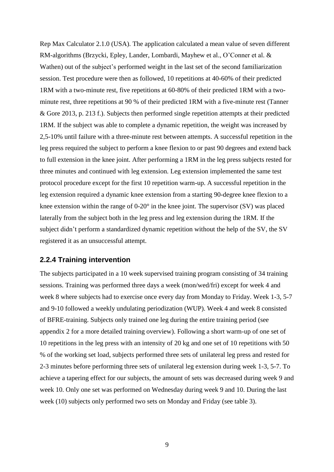Rep Max Calculator 2.1.0 (USA). The application calculated a mean value of seven different RM-algorithms (Brzycki, Epley, Lander, Lombardi, Mayhew et al., O'Conner et al. & Wathen) out of the subject's performed weight in the last set of the second familiarization session. Test procedure were then as followed, 10 repetitions at 40-60% of their predicted 1RM with a two-minute rest, five repetitions at 60-80% of their predicted 1RM with a twominute rest, three repetitions at 90 % of their predicted 1RM with a five-minute rest (Tanner & Gore 2013, p. 213 f.). Subjects then performed single repetition attempts at their predicted 1RM. If the subject was able to complete a dynamic repetition, the weight was increased by 2,5-10% until failure with a three-minute rest between attempts. A successful repetition in the leg press required the subject to perform a knee flexion to or past 90 degrees and extend back to full extension in the knee joint. After performing a 1RM in the leg press subjects rested for three minutes and continued with leg extension. Leg extension implemented the same test protocol procedure except for the first 10 repetition warm-up. A successful repetition in the leg extension required a dynamic knee extension from a starting 90-degree knee flexion to a knee extension within the range of 0-20° in the knee joint. The supervisor (SV) was placed laterally from the subject both in the leg press and leg extension during the 1RM. If the subject didn't perform a standardized dynamic repetition without the help of the SV, the SV registered it as an unsuccessful attempt.

#### <span id="page-14-0"></span>**2.2.4 Training intervention**

The subjects participated in a 10 week supervised training program consisting of 34 training sessions. Training was performed three days a week (mon/wed/fri) except for week 4 and week 8 where subjects had to exercise once every day from Monday to Friday. Week 1-3, 5-7 and 9-10 followed a weekly undulating periodization (WUP). Week 4 and week 8 consisted of BFRE-training. Subjects only trained one leg during the entire training period (see appendix 2 for a more detailed training overview). Following a short warm-up of one set of 10 repetitions in the leg press with an intensity of 20 kg and one set of 10 repetitions with 50 % of the working set load, subjects performed three sets of unilateral leg press and rested for 2-3 minutes before performing three sets of unilateral leg extension during week 1-3, 5-7. To achieve a tapering effect for our subjects, the amount of sets was decreased during week 9 and week 10. Only one set was performed on Wednesday during week 9 and 10. During the last week (10) subjects only performed two sets on Monday and Friday (see table 3).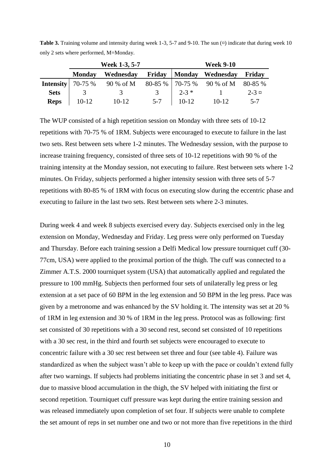|                             | Week 1-3, 5-7 |           |               | <b>Week 9-10</b> |                               |          |
|-----------------------------|---------------|-----------|---------------|------------------|-------------------------------|----------|
|                             | <b>Monday</b> | Wednesday |               |                  | Friday   Monday Wednesday     | Friday   |
| <b>Intensity</b> 70-75 $\%$ |               | 90 % of M |               |                  | $80-85\%$   70-75 % 90 % of M | 80-85 %  |
| <b>Sets</b>                 |               | 3         | $\mathcal{R}$ | $2 - 3 *$        |                               | $2 - 3x$ |
| <b>Reps</b>                 | $10-12$       | $10-12$   | $5 - 7$       | $10-12$          | $10-12$                       | $5 - 7$  |

**Table 3.** Training volume and intensity during week 1-3, 5-7 and 9-10. The sun  $(\alpha)$  indicate that during week 10 only 2 sets where performed, M=Monday.

The WUP consisted of a high repetition session on Monday with three sets of 10-12 repetitions with 70-75 % of 1RM. Subjects were encouraged to execute to failure in the last two sets. Rest between sets where 1-2 minutes. The Wednesday session, with the purpose to increase training frequency, consisted of three sets of 10-12 repetitions with 90 % of the training intensity at the Monday session, not executing to failure. Rest between sets where 1-2 minutes. On Friday, subjects performed a higher intensity session with three sets of 5-7 repetitions with 80-85 % of 1RM with focus on executing slow during the eccentric phase and executing to failure in the last two sets. Rest between sets where 2-3 minutes.

During week 4 and week 8 subjects exercised every day. Subjects exercised only in the leg extension on Monday, Wednesday and Friday. Leg press were only performed on Tuesday and Thursday. Before each training session a Delfi Medical low pressure tourniquet cuff (30- 77cm, USA) were applied to the proximal portion of the thigh. The cuff was connected to a Zimmer A.T.S. 2000 tourniquet system (USA) that automatically applied and regulated the pressure to 100 mmHg. Subjects then performed four sets of unilaterally leg press or leg extension at a set pace of 60 BPM in the leg extension and 50 BPM in the leg press. Pace was given by a metronome and was enhanced by the SV holding it. The intensity was set at 20 % of 1RM in leg extension and 30 % of 1RM in the leg press. Protocol was as following: first set consisted of 30 repetitions with a 30 second rest, second set consisted of 10 repetitions with a 30 sec rest, in the third and fourth set subjects were encouraged to execute to concentric failure with a 30 sec rest between set three and four (see table 4). Failure was standardized as when the subject wasn't able to keep up with the pace or couldn't extend fully after two warnings. If subjects had problems initiating the concentric phase in set 3 and set 4, due to massive blood accumulation in the thigh, the SV helped with initiating the first or second repetition. Tourniquet cuff pressure was kept during the entire training session and was released immediately upon completion of set four. If subjects were unable to complete the set amount of reps in set number one and two or not more than five repetitions in the third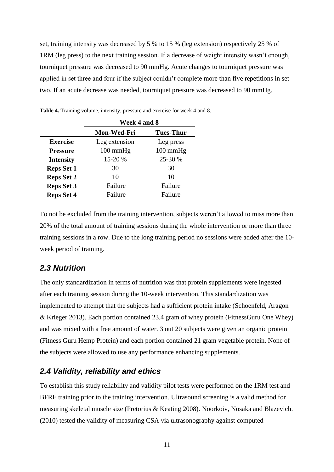set, training intensity was decreased by 5 % to 15 % (leg extension) respectively 25 % of 1RM (leg press) to the next training session. If a decrease of weight intensity wasn't enough, tourniquet pressure was decreased to 90 mmHg. Acute changes to tourniquet pressure was applied in set three and four if the subject couldn't complete more than five repetitions in set two. If an acute decrease was needed, tourniquet pressure was decreased to 90 mmHg.

|                   | Week 4 and 8       |                    |  |
|-------------------|--------------------|--------------------|--|
|                   | <b>Mon-Wed-Fri</b> | <b>Tues-Thur</b>   |  |
| <b>Exercise</b>   | Leg extension      | Leg press          |  |
| <b>Pressure</b>   | $100 \text{ mmHg}$ | $100 \text{ mmHg}$ |  |
| <b>Intensity</b>  | 15-20 %            | 25-30 %            |  |
| <b>Reps Set 1</b> | 30                 | 30                 |  |
| <b>Reps Set 2</b> | 10                 | 10                 |  |
| <b>Reps Set 3</b> | Failure            | Failure            |  |
| <b>Reps Set 4</b> | Failure            | Failure            |  |

**Table 4.** Training volume, intensity, pressure and exercise for week 4 and 8.

To not be excluded from the training intervention, subjects weren't allowed to miss more than 20% of the total amount of training sessions during the whole intervention or more than three training sessions in a row. Due to the long training period no sessions were added after the 10 week period of training.

## <span id="page-16-0"></span>*2.3 Nutrition*

The only standardization in terms of nutrition was that protein supplements were ingested after each training session during the 10-week intervention. This standardization was implemented to attempt that the subjects had a sufficient protein intake (Schoenfeld, Aragon & Krieger 2013). Each portion contained 23,4 gram of whey protein (FitnessGuru One Whey) and was mixed with a free amount of water. 3 out 20 subjects were given an organic protein (Fitness Guru Hemp Protein) and each portion contained 21 gram vegetable protein. None of the subjects were allowed to use any performance enhancing supplements.

## <span id="page-16-1"></span>*2.4 Validity, reliability and ethics*

To establish this study reliability and validity pilot tests were performed on the 1RM test and BFRE training prior to the training intervention. Ultrasound screening is a valid method for measuring skeletal muscle size (Pretorius & Keating 2008). Noorkoiv, Nosaka and Blazevich. (2010) tested the validity of measuring CSA via ultrasonography against computed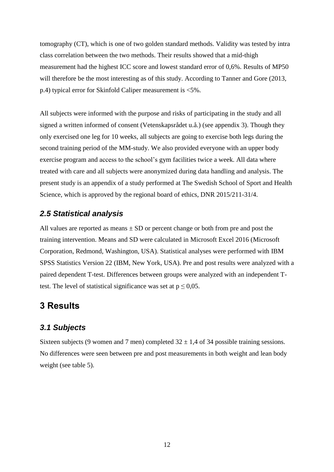tomography (CT), which is one of two golden standard methods. Validity was tested by intra class correlation between the two methods. Their results showed that a mid-thigh measurement had the highest ICC score and lowest standard error of 0,6%. Results of MP50 will therefore be the most interesting as of this study. According to Tanner and Gore (2013, p.4) typical error for Skinfold Caliper measurement is <5%.

All subjects were informed with the purpose and risks of participating in the study and all signed a written informed of consent (Vetenskapsrådet u.å.) (see appendix 3). Though they only exercised one leg for 10 weeks, all subjects are going to exercise both legs during the second training period of the MM-study. We also provided everyone with an upper body exercise program and access to the school's gym facilities twice a week. All data where treated with care and all subjects were anonymized during data handling and analysis. The present study is an appendix of a study performed at The Swedish School of Sport and Health Science, which is approved by the regional board of ethics, DNR 2015/211-31/4.

## <span id="page-17-0"></span>*2.5 Statistical analysis*

All values are reported as means  $\pm$  SD or percent change or both from pre and post the training intervention. Means and SD were calculated in Microsoft Excel 2016 (Microsoft Corporation, Redmond, Washington, USA). Statistical analyses were performed with IBM SPSS Statistics Version 22 (IBM, New York, USA). Pre and post results were analyzed with a paired dependent T-test. Differences between groups were analyzed with an independent Ttest. The level of statistical significance was set at  $p \le 0.05$ .

# <span id="page-17-1"></span>**3 Results**

## <span id="page-17-2"></span>*3.1 Subjects*

Sixteen subjects (9 women and 7 men) completed  $32 \pm 1.4$  of 34 possible training sessions. No differences were seen between pre and post measurements in both weight and lean body weight (see table 5).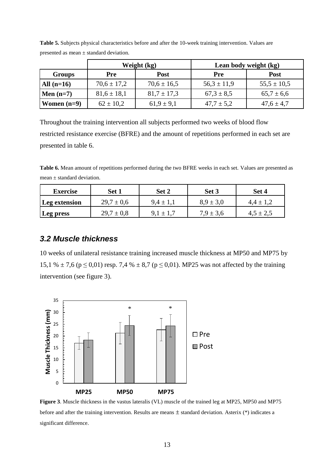|               |                 | Weight (kg)     | Lean body weight (kg) |                 |  |
|---------------|-----------------|-----------------|-----------------------|-----------------|--|
| Groups        | Pre             | <b>Post</b>     | <b>Pre</b>            | <b>Post</b>     |  |
| All $(n=16)$  | $70,6 \pm 17,2$ | $70,6 \pm 16,5$ | $56.3 \pm 11.9$       | $55,5 \pm 10,5$ |  |
| Men $(n=7)$   | $81,6 \pm 18,1$ | $81.7 \pm 17.3$ | $67.3 \pm 8.5$        | $65.7 \pm 6.6$  |  |
| Women $(n=9)$ | $62 \pm 10.2$   | $61,9 \pm 9,1$  | $47.7 \pm 5.2$        | $47.6 \pm 4.7$  |  |

**Table 5.** Subjects physical characteristics before and after the 10-week training intervention. Values are presented as mean ± standard deviation.

Throughout the training intervention all subjects performed two weeks of blood flow restricted resistance exercise (BFRE) and the amount of repetitions performed in each set are presented in table 6.

**Table 6.** Mean amount of repetitions performed during the two BFRE weeks in each set. Values are presented as mean  $\pm$  standard deviation.

| <b>Exercise</b> | Set 1          | Set 2         | Set 3         | Set 4         |
|-----------------|----------------|---------------|---------------|---------------|
| Leg extension   | $29.7 \pm 0.6$ | $9,4 \pm 1,1$ | $8.9 \pm 3.0$ | $4.4 \pm 1.2$ |
| Leg press       | $29.7 \pm 0.8$ |               | $7.9 \pm 3.6$ | $4.5 \pm 2.5$ |

## <span id="page-18-0"></span>*3.2 Muscle thickness*

10 weeks of unilateral resistance training increased muscle thickness at MP50 and MP75 by 15,1 %  $\pm$  7,6 (p  $\leq$  0,01) resp. 7,4 %  $\pm$  8,7 (p  $\leq$  0,01). MP25 was not affected by the training intervention (see figure 3).



**Figure 3**. Muscle thickness in the vastus lateralis (VL) muscle of the trained leg at MP25, MP50 and MP75 before and after the training intervention. Results are means ± standard deviation. Asterix (\*) indicates a significant difference.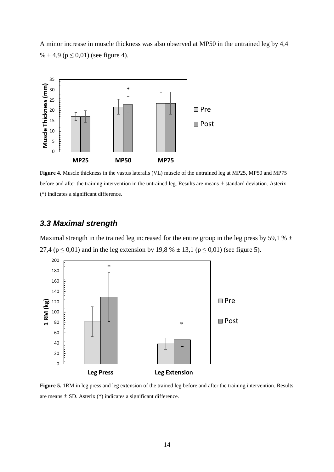A minor increase in muscle thickness was also observed at MP50 in the untrained leg by 4,4 %  $\pm$  4,9 (p  $\leq$  0,01) (see figure 4).



**Figure 4.** Muscle thickness in the vastus lateralis (VL) muscle of the untrained leg at MP25, MP50 and MP75 before and after the training intervention in the untrained leg. Results are means  $\pm$  standard deviation. Asterix (\*) indicates a significant difference.

## <span id="page-19-0"></span>*3.3 Maximal strength*

Maximal strength in the trained leg increased for the entire group in the leg press by 59,1 %  $\pm$ 27,4 ( $p \le 0.01$ ) and in the leg extension by 19,8 %  $\pm$  13,1 ( $p \le 0.01$ ) (see figure 5).



**Figure 5.** 1RM in leg press and leg extension of the trained leg before and after the training intervention. Results are means  $\pm$  SD. Asterix (\*) indicates a significant difference.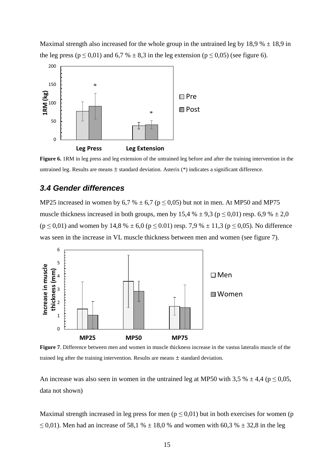Maximal strength also increased for the whole group in the untrained leg by  $18.9% \pm 18.9$  in the leg press ( $p \le 0.01$ ) and 6,7 %  $\pm$  8,3 in the leg extension ( $p \le 0.05$ ) (see figure 6).



**Figure 6.** 1RM in leg press and leg extension of the untrained leg before and after the training intervention in the untrained leg. Results are means  $\pm$  standard deviation. Asterix  $(*)$  indicates a significant difference.

## <span id="page-20-0"></span>*3.4 Gender differences*

MP25 increased in women by 6,7 %  $\pm$  6,7 (p  $\leq$  0,05) but not in men. At MP50 and MP75 muscle thickness increased in both groups, men by 15,4 %  $\pm$  9,3 (p  $\leq$  0,01) resp. 6,9 %  $\pm$  2,0  $(p \le 0.01)$  and women by 14,8 %  $\pm$  6,0 ( $p \le 0.01$ ) resp. 7,9 %  $\pm$  11,3 ( $p \le 0.05$ ). No difference was seen in the increase in VL muscle thickness between men and women (see figure 7).



**Figure 7**. Difference between men and women in muscle thickness increase in the vastus lateralis muscle of the trained leg after the training intervention. Results are means ± standard deviation.

An increase was also seen in women in the untrained leg at MP50 with 3,5 %  $\pm$  4,4 (p  $\leq$  0,05, data not shown)

Maximal strength increased in leg press for men ( $p \le 0.01$ ) but in both exercises for women (p ≤ 0,01). Men had an increase of 58,1 %  $\pm$  18,0 % and women with 60,3 %  $\pm$  32,8 in the leg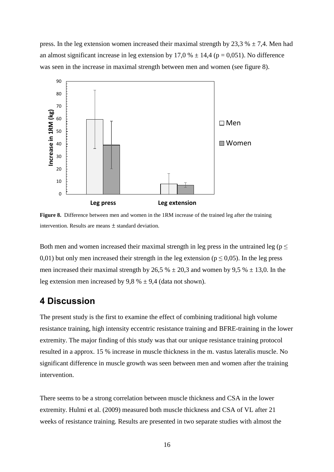press. In the leg extension women increased their maximal strength by 23,3 %  $\pm$  7,4. Men had an almost significant increase in leg extension by 17,0 %  $\pm$  14,4 (p = 0,051). No difference was seen in the increase in maximal strength between men and women (see figure 8).



Figure 8. Difference between men and women in the 1RM increase of the trained leg after the training intervention. Results are means  $\pm$  standard deviation.

Both men and women increased their maximal strength in leg press in the untrained leg ( $p \leq$ 0,01) but only men increased their strength in the leg extension ( $p \le 0.05$ ). In the leg press men increased their maximal strength by 26,5 %  $\pm$  20,3 and women by 9,5 %  $\pm$  13,0. In the leg extension men increased by 9,8 %  $\pm$  9,4 (data not shown).

## <span id="page-21-0"></span>**4 Discussion**

The present study is the first to examine the effect of combining traditional high volume resistance training, high intensity eccentric resistance training and BFRE-training in the lower extremity. The major finding of this study was that our unique resistance training protocol resulted in a approx. 15 % increase in muscle thickness in the m. vastus lateralis muscle. No significant difference in muscle growth was seen between men and women after the training intervention.

There seems to be a strong correlation between muscle thickness and CSA in the lower extremity. Hulmi et al. (2009) measured both muscle thickness and CSA of VL after 21 weeks of resistance training. Results are presented in two separate studies with almost the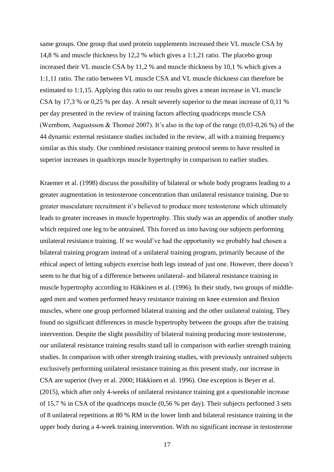same groups. One group that used protein supplements increased their VL muscle CSA by 14,8 % and muscle thickness by 12,2 % which gives a 1:1,21 ratio. The placebo group increased their VL muscle CSA by 11,2 % and muscle thickness by 10,1 % which gives a 1:1,11 ratio. The ratio between VL muscle CSA and VL muscle thickness can therefore be estimated to 1:1,15. Applying this ratio to our results gives a mean increase in VL muscle CSA by 17,3 % or 0,25 % per day. A result severely superior to the mean increase of 0,11 % per day presented in the review of training factors affecting quadriceps muscle CSA (Wernbom, Augustsson & Thomeé 2007). It's also in the top of the range (0,03-0,26 %) of the 44 dynamic external resistance studies included in the review, all with a training frequency similar as this study. Our combined resistance training protocol seems to have resulted in superior increases in quadriceps muscle hypertrophy in comparison to earlier studies.

Kraemer et al. (1998) discuss the possibility of bilateral or whole body programs leading to a greater augmentation in testosterone concentration than unilateral resistance training. Due to greater musculature recruitment it's believed to produce more testosterone which ultimately leads to greater increases in muscle hypertrophy. This study was an appendix of another study which required one leg to be untrained. This forced us into having our subjects performing unilateral resistance training. If we would've had the opportunity we probably had chosen a bilateral training program instead of a unilateral training program, primarily because of the ethical aspect of letting subjects exercise both legs instead of just one. However, there doesn't seem to be that big of a difference between unilateral- and bilateral resistance training in muscle hypertrophy according to Häkkinen et al. (1996). In their study, two groups of middleaged men and women performed heavy resistance training on knee extension and flexion muscles, where one group performed bilateral training and the other unilateral training. They found no significant differences in muscle hypertrophy between the groups after the training intervention. Despite the slight possibility of bilateral training producing more testosterone, our unilateral resistance training results stand tall in comparison with earlier strength training studies. In comparison with other strength training studies, with previously untrained subjects exclusively performing unilateral resistance training as this present study, our increase in CSA are superior (Ivey et al. 2000; Häkkinen et al. 1996). One exception is Beyer et al. (2015), which after only 4-weeks of unilateral resistance training got a questionable increase of 15,7 % in CSA of the quadriceps muscle (0,56 % per day). Their subjects performed 3 sets of 8 unilateral repetitions at 80 % RM in the lower limb and bilateral resistance training in the upper body during a 4-week training intervention. With no significant increase in testosterone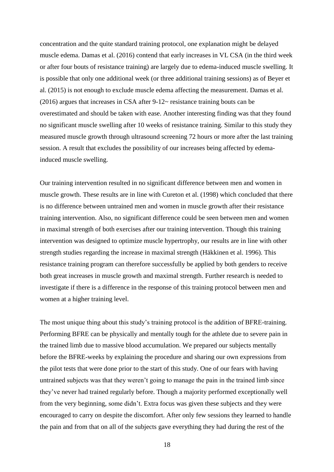concentration and the quite standard training protocol, one explanation might be delayed muscle edema. Damas et al. (2016) contend that early increases in VL CSA (in the third week or after four bouts of resistance training) are largely due to edema-induced muscle swelling. It is possible that only one additional week (or three additional training sessions) as of Beyer et al. (2015) is not enough to exclude muscle edema affecting the measurement. Damas et al. (2016) argues that increases in CSA after 9-12~ resistance training bouts can be overestimated and should be taken with ease. Another interesting finding was that they found no significant muscle swelling after 10 weeks of resistance training. Similar to this study they measured muscle growth through ultrasound screening 72 hours or more after the last training session. A result that excludes the possibility of our increases being affected by edemainduced muscle swelling.

Our training intervention resulted in no significant difference between men and women in muscle growth. These results are in line with Cureton et al. (1998) which concluded that there is no difference between untrained men and women in muscle growth after their resistance training intervention. Also, no significant difference could be seen between men and women in maximal strength of both exercises after our training intervention. Though this training intervention was designed to optimize muscle hypertrophy, our results are in line with other strength studies regarding the increase in maximal strength (Häkkinen et al. 1996). This resistance training program can therefore successfully be applied by both genders to receive both great increases in muscle growth and maximal strength. Further research is needed to investigate if there is a difference in the response of this training protocol between men and women at a higher training level.

The most unique thing about this study's training protocol is the addition of BFRE-training. Performing BFRE can be physically and mentally tough for the athlete due to severe pain in the trained limb due to massive blood accumulation. We prepared our subjects mentally before the BFRE-weeks by explaining the procedure and sharing our own expressions from the pilot tests that were done prior to the start of this study. One of our fears with having untrained subjects was that they weren't going to manage the pain in the trained limb since they've never had trained regularly before. Though a majority performed exceptionally well from the very beginning, some didn't. Extra focus was given these subjects and they were encouraged to carry on despite the discomfort. After only few sessions they learned to handle the pain and from that on all of the subjects gave everything they had during the rest of the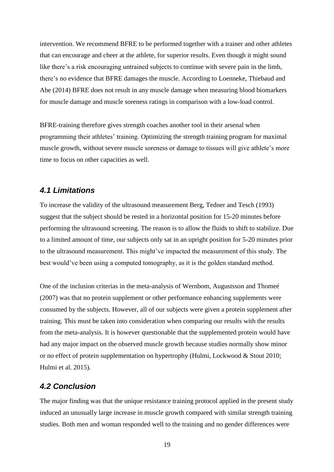intervention. We recommend BFRE to be performed together with a trainer and other athletes that can encourage and cheer at the athlete, for superior results. Even though it might sound like there's a risk encouraging untrained subjects to continue with severe pain in the limb, there's no evidence that BFRE damages the muscle. According to Loenneke, Thiebaud and Abe (2014) BFRE does not result in any muscle damage when measuring blood biomarkers for muscle damage and muscle soreness ratings in comparison with a low-load control.

BFRE-training therefore gives strength coaches another tool in their arsenal when programming their athletes' training. Optimizing the strength training program for maximal muscle growth, without severe muscle soreness or damage to tissues will give athlete's more time to focus on other capacities as well.

## <span id="page-24-0"></span>*4.1 Limitations*

To increase the validity of the ultrasound measurement Berg, Tedner and Tesch (1993) suggest that the subject should be rested in a horizontal position for 15-20 minutes before performing the ultrasound screening. The reason is to allow the fluids to shift to stabilize. Due to a limited amount of time, our subjects only sat in an upright position for 5-20 minutes prior to the ultrasound measurement. This might've impacted the measurement of this study. The best would've been using a computed tomography, as it is the golden standard method.

One of the inclusion criterias in the meta-analysis of Wernbom, Augustsson and Thomeé (2007) was that no protein supplement or other performance enhancing supplements were consumed by the subjects. However, all of our subjects were given a protein supplement after training. This must be taken into consideration when comparing our results with the results from the meta-analysis. It is however questionable that the supplemented protein would have had any major impact on the observed muscle growth because studies normally show minor or no effect of protein supplementation on hypertrophy (Hulmi, Lockwood & Stout 2010; Hulmi et al. 2015).

## <span id="page-24-1"></span>*4.2 Conclusion*

The major finding was that the unique resistance training protocol applied in the present study induced an unusually large increase in muscle growth compared with similar strength training studies. Both men and woman responded well to the training and no gender differences were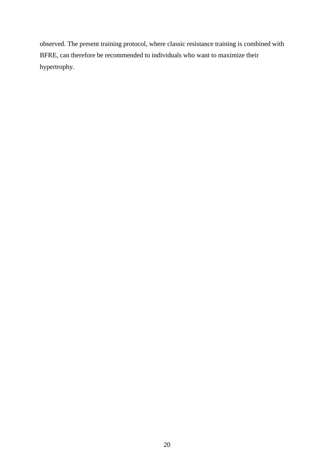observed. The present training protocol, where classic resistance training is combined with BFRE, can therefore be recommended to individuals who want to maximize their hypertrophy.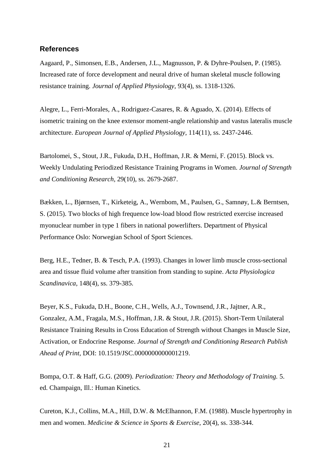#### <span id="page-26-0"></span>**References**

Aagaard, P., Simonsen, E.B., Andersen, J.L., Magnusson, P. & Dyhre-Poulsen, P. (1985). Increased rate of force development and neural drive of human skeletal muscle following resistance training. *Journal of Applied Physiology,* 93(4), ss. 1318-1326.

Alegre, L., Ferri-Morales, A., Rodriguez-Casares, R. & Aguado, X. (2014). Effects of isometric training on the knee extensor moment-angle relationship and vastus lateralis muscle architecture. *European Journal of Applied Physiology,* 114(11), ss. 2437-2446.

Bartolomei, S., Stout, J.R., Fukuda, D.H., Hoffman, J.R. & Merni, F. (2015). Block vs. Weekly Undulating Periodized Resistance Training Programs in Women. *Journal of Strength and Conditioning Research,* 29(10), ss. 2679-2687.

Bækken, L., Bjørnsen, T., Kirketeig, A., Wernbom, M., Paulsen, G., Samnøy, L.& Berntsen, S. (2015). Two blocks of high frequence low-load blood flow restricted exercise increased myonuclear number in type 1 fibers in national powerlifters. Department of Physical Performance Oslo: Norwegian School of Sport Sciences.

Berg, H.E., Tedner, B. & Tesch, P.A. (1993). Changes in lower limb muscle cross-sectional area and tissue fluid volume after transition from standing to supine. *Acta Physiologica Scandinavica,* 148(4), ss. 379-385.

Beyer, K.S., Fukuda, D.H., Boone, C.H., Wells, A.J., Townsend, J.R., Jajtner, A.R., Gonzalez, A.M., Fragala, M.S., Hoffman, J.R. & Stout, J.R. (2015). Short-Term Unilateral Resistance Training Results in Cross Education of Strength without Changes in Muscle Size, Activation, or Endocrine Response. *Journal of Strength and Conditioning Research Publish Ahead of Print,* DOI: 10.1519/JSC.0000000000001219.

Bompa, O.T. & Haff, G.G. (2009). *Periodization: Theory and Methodology of Training.* 5. ed. Champaign, Ill.: Human Kinetics.

Cureton, K.J., Collins, M.A., Hill, D.W. & McElhannon, F.M. (1988). Muscle hypertrophy in men and women. *Medicine & Science in Sports & Exercise,* 20(4), ss. 338-344.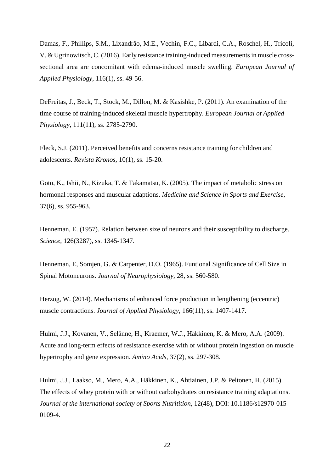Damas, F., Phillips, S.M., Lixandrão, M.E., Vechin, F.C., Libardi, C.A., Roschel, H., Tricoli, V. & Ugrinowitsch, C. (2016). Early resistance training-induced measurements in muscle crosssectional area are concomitant with edema-induced muscle swelling. *European Journal of Applied Physiology,* 116(1), ss. 49-56.

DeFreitas, J., Beck, T., Stock, M., Dillon, M. & Kasishke, P. (2011). An examination of the time course of training-induced skeletal muscle hypertrophy. *European Journal of Applied Physiology,* 111(11), ss. 2785-2790.

Fleck, S.J. (2011). Perceived benefits and concerns resistance training for children and adolescents. *Revista Kronos,* 10(1), ss. 15-20.

Goto, K., Ishii, N., Kizuka, T. & Takamatsu, K. (2005). The impact of metabolic stress on hormonal responses and muscular adaptions. *Medicine and Science in Sports and Exercise,*  37(6), ss. 955-963.

Henneman, E. (1957). Relation between size of neurons and their susceptibility to discharge. *Science*, 126(3287), ss. 1345-1347.

Henneman, E, Somjen, G. & Carpenter, D.O. (1965). Funtional Significance of Cell Size in Spinal Motoneurons. *Journal of Neurophysiology,* 28, ss. 560-580.

Herzog, W. (2014). Mechanisms of enhanced force production in lengthening (eccentric) muscle contractions. *Journal of Applied Physiology,* 166(11), ss. 1407-1417.

Hulmi, J.J., Kovanen, V., Selänne, H., Kraemer, W.J., Häkkinen, K. & Mero, A.A. (2009). Acute and long-term effects of resistance exercise with or without protein ingestion on muscle hypertrophy and gene expression. *Amino Acids,* 37(2), ss. 297-308.

Hulmi, J.J., Laakso, M., Mero, A.A., Häkkinen, K., Ahtiainen, J.P. & Peltonen, H. (2015). The effects of whey protein with or without carbohydrates on resistance training adaptations. *Journal of the international society of Sports Nutritition,* 12(48), DOI: 10.1186/s12970-015- 0109-4.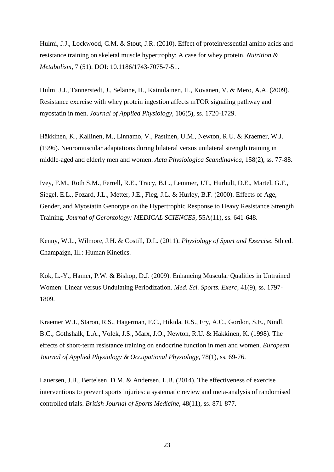Hulmi, J.J., Lockwood, C.M. & Stout, J.R. (2010). Effect of protein/essential amino acids and resistance training on skeletal muscle hypertrophy: A case for whey protein. *Nutrition & Metabolism,* 7 (51). DOI: 10.1186/1743-7075-7-51.

Hulmi J.J., Tannerstedt, J., Selänne, H., Kainulainen, H., Kovanen, V. & Mero, A.A. (2009). Resistance exercise with whey protein ingestion affects mTOR signaling pathway and myostatin in men. *Journal of Applied Physiology*, 106(5), ss. 1720-1729.

Häkkinen, K., Kallinen, M., Linnamo, V., Pastinen, U.M., Newton, R.U. & Kraemer, W.J. (1996). Neuromuscular adaptations during bilateral versus unilateral strength training in middle-aged and elderly men and women. *Acta Physiologica Scandinavica,* 158(2), ss. 77-88.

Ivey, F.M., Roth S.M., Ferrell, R.E., Tracy, B.L., Lemmer, J.T., Hurbult, D.E., Martel, G.F., Siegel, E.L., Fozard, J.L., Metter, J.E., Fleg, J.L. & Hurley, B.F. (2000). Effects of Age, Gender, and Myostatin Genotype on the Hypertrophic Response to Heavy Resistance Strength Training. *Journal of Gerontology: MEDICAL SCIENCES,* 55A(11), ss. 641-648.

Kenny, W.L., Wilmore, J.H. & Costill, D.L. (2011). *Physiology of Sport and Exercise.* 5th ed. Champaign, Ill.: Human Kinetics.

Kok, L.-Y., Hamer, P.W. & Bishop, D.J. (2009). Enhancing Muscular Qualities in Untrained Women: Linear versus Undulating Periodization. *Med. Sci. Sports. Exerc,* 41(9), ss. 1797- 1809.

Kraemer W.J., Staron, R.S., Hagerman, F.C., Hikida, R.S., Fry, A.C., Gordon, S.E., Nindl, B.C., Gothshalk, L.A., Volek, J.S., Marx, J.O., Newton, R.U. & Häkkinen, K. (1998). The effects of short-term resistance training on endocrine function in men and women. *European Journal of Applied Physiology & Occupational Physiology,* 78(1), ss. 69-76.

Lauersen, J.B., Bertelsen, D.M. & Andersen, L.B. (2014). The effectiveness of exercise interventions to prevent sports injuries: a systematic review and meta-analysis of randomised controlled trials. *British Journal of Sports Medicine,* 48(11), ss. 871-877.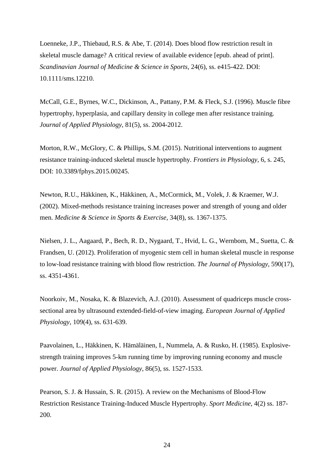Loenneke, J.P., Thiebaud, R.S. & Abe, T. (2014). Does blood flow restriction result in skeletal muscle damage? A critical review of available evidence [epub. ahead of print]. *Scandinavian Journal of Medicine & Science in Sports,* 24(6), ss. e415-422. DOI: 10.1111/sms.12210.

McCall, G.E., Byrnes, W.C., Dickinson, A., Pattany, P.M. & Fleck, S.J. (1996). Muscle fibre hypertrophy, hyperplasia, and capillary density in college men after resistance training. *Journal of Applied Physiology,* 81(5), ss. 2004-2012.

Morton, R.W., McGlory, C. & Phillips, S.M. (2015). Nutritional interventions to augment resistance training-induced skeletal muscle hypertrophy. *Frontiers in Physiology*, 6, s. 245, DOI: 10.3389/fphys.2015.00245.

Newton, R.U., Häkkinen, K., Häkkinen, A., McCormick, M., Volek, J. & Kraemer, W.J. (2002). Mixed-methods resistance training increases power and strength of young and older men. *Medicine & Science in Sports & Exercise,* 34(8), ss. 1367-1375.

Nielsen, J. L., Aagaard, P., Bech, R. D., Nygaard, T., Hvid, L. G., Wernbom, M., Suetta, C. & Frandsen, U. (2012). Proliferation of myogenic stem cell in human skeletal muscle in response to low-load resistance training with blood flow restriction. *The Journal of Physiology,* 590(17), ss. 4351-4361.

Noorkoiv, M., Nosaka, K. & Blazevich, A.J. (2010). Assessment of quadriceps muscle crosssectional area by ultrasound extended-field-of-view imaging. *European Journal of Applied Physiology,* 109(4), ss. 631-639.

Paavolainen, L., Häkkinen, K. Hämäläinen, I., Nummela, A. & Rusko, H. (1985). Explosivestrength training improves 5-km running time by improving running economy and muscle power. *Journal of Applied Physiology,* 86(5), ss. 1527-1533.

Pearson, S. J. & Hussain, S. R. (2015). A review on the Mechanisms of Blood-Flow Restriction Resistance Training-Induced Muscle Hypertrophy. *Sport Medicine,* 4(2) ss. 187- 200.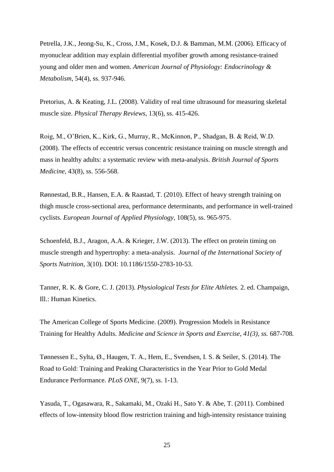Petrella, J.K., Jeong-Su, K., Cross, J.M., Kosek, D.J. & Bamman, M.M. (2006). Efficacy of myonuclear addition may explain differential myofiber growth among resistance-trained young and older men and women. *American Journal of Physiology: Endocrinology & Metabolism,* 54(4), ss. 937-946.

Pretorius, A. & Keating, J.L. (2008). Validity of real time ultrasound for measuring skeletal muscle size. *Physical Therapy Reviews,* 13(6), ss. 415-426.

Roig, M., O'Brien, K., Kirk, G., Murray, R., McKinnon, P., Shadgan, B. & Reid, W.D. (2008). The effects of eccentric versus concentric resistance training on muscle strength and mass in healthy adults: a systematic review with meta-analysis. *British Journal of Sports Medicine,* 43(8), ss. 556-568.

Rønnestad, B.R., Hansen, E.A. & Raastad, T. (2010). Effect of heavy strength training on thigh muscle cross-sectional area, performance determinants, and performance in well-trained cyclists. *European Journal of Applied Physiology,* 108(5), ss. 965-975.

Schoenfeld, B.J., Aragon, A.A. & Krieger, J.W. (2013). The effect on protein timing on muscle strength and hypertrophy: a meta-analysis. *Journal of the International Society of Sports Nutrition,* 3(10). DOI: 10.1186/1550-2783-10-53.

Tanner, R. K. & Gore, C. J. (2013). *Physiological Tests for Elite Athletes.* 2. ed. Champaign, Ill.: Human Kinetics.

The American College of Sports Medicine. (2009). Progression Models in Resistance Training for Healthy Adults. *Medicine and Science in Sports and Exercise, 41(3), ss.* 687-708*.*

Tønnessen E., Sylta, Ø., Haugen, T. A., Hem, E., Svendsen, I. S. & Seiler, S. (2014). The Road to Gold: Training and Peaking Characteristics in the Year Prior to Gold Medal Endurance Performance. *PLoS ONE,* 9(7), ss. 1-13.

Yasuda, T., Ogasawara, R., Sakamaki, M., Ozaki H., Sato Y. & Abe, T. (2011). Combined effects of low-intensity blood flow restriction training and high-intensity resistance training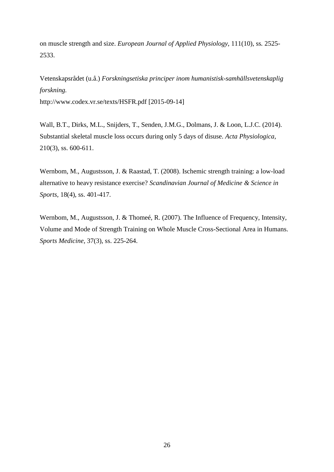on muscle strength and size. *European Journal of Applied Physiology,* 111(10), ss*.* 2525- 2533.

Vetenskapsrådet (u.å.) *Forskningsetiska principer inom humanistisk-samhällsvetenskaplig forskning.*  http://www.codex.vr.se/texts/HSFR.pdf [2015-09-14]

Wall, B.T., Dirks, M.L., Snijders, T., Senden, J.M.G., Dolmans, J. & Loon, L.J.C. (2014). Substantial skeletal muscle loss occurs during only 5 days of disuse. *Acta Physiologica,*  210(3), ss. 600-611.

Wernbom, M., Augustsson, J. & Raastad, T. (2008). Ischemic strength training: a low-load alternative to heavy resistance exercise? *Scandinavian Journal of Medicine & Science in Sports,* 18(4), ss. 401-417.

Wernbom, M., Augustsson, J. & Thomeé, R. (2007). The Influence of Frequency, Intensity, Volume and Mode of Strength Training on Whole Muscle Cross-Sectional Area in Humans. *Sports Medicine,* 37(3), ss. 225-264.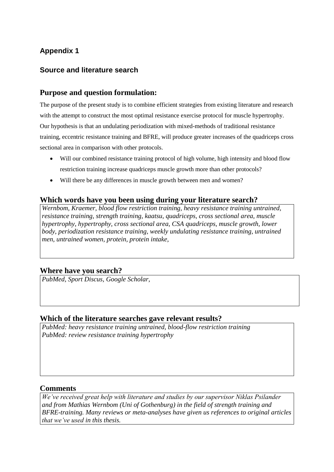## **Appendix 1**

## **Source and literature search**

## **Purpose and question formulation:**

The purpose of the present study is to combine efficient strategies from existing literature and research with the attempt to construct the most optimal resistance exercise protocol for muscle hypertrophy. Our hypothesis is that an undulating periodization with mixed-methods of traditional resistance training, eccentric resistance training and BFRE, will produce greater increases of the quadriceps cross sectional area in comparison with other protocols.

- Will our combined resistance training protocol of high volume, high intensity and blood flow restriction training increase quadriceps muscle growth more than other protocols?
- Will there be any differences in muscle growth between men and women?

## **Which words have you been using during your literature search?**

*Wernbom, Kraemer, blood flow restriction training, heavy resistance training untrained, resistance training, strength training, kaatsu, quadriceps, cross sectional area, muscle hypertrophy, hypertrophy, cross sectional area, CSA quadriceps, muscle growth, lower body, periodization resistance training, weekly undulating resistance training, untrained men, untrained women, protein, protein intake,* 

## **Where have you search?**

*PubMed, Sport Discus, Google Scholar,*

## **Which of the literature searches gave relevant results?**

*PubMed: heavy resistance training untrained, blood-flow restriction training PubMed: review resistance training hypertrophy*

## **Comments**

*We've received great help with literature and studies by our supervisor Niklas Psilander and from Mathias Wernbom (Uni of Gothenburg) in the field of strength training and BFRE-training. Many reviews or meta-analyses have given us references to original articles that we've used in this thesis.*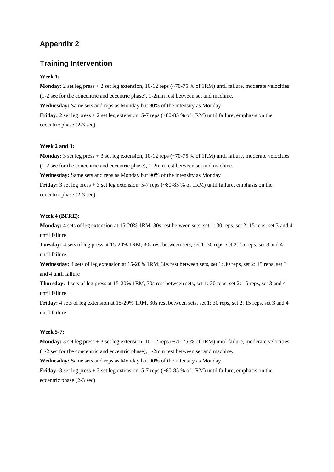## **Appendix 2**

#### **Training Intervention**

#### **Week 1:**

**Monday:** 2 set leg press + 2 set leg extension, 10-12 reps (~70-75 % of 1RM) until failure, moderate velocities (1-2 sec for the concentric and eccentric phase), 1-2min rest between set and machine. **Wednesday:** Same sets and reps as Monday but 90% of the intensity as Monday

**Friday:** 2 set leg press + 2 set leg extension, 5-7 reps (~80-85 % of 1RM) until failure, emphasis on the eccentric phase (2-3 sec).

#### **Week 2 and 3:**

**Monday:** 3 set leg press + 3 set leg extension, 10-12 reps (~70-75 % of 1RM) until failure, moderate velocities (1-2 sec for the concentric and eccentric phase), 1-2min rest between set and machine.

**Wednesday:** Same sets and reps as Monday but 90% of the intensity as Monday

**Friday:**  $3$  set leg press  $+3$  set leg extension,  $5-7$  reps ( $\sim$ 80-85 % of 1RM) until failure, emphasis on the eccentric phase (2-3 sec).

#### **Week 4 (BFRE):**

**Monday:** 4 sets of leg extension at 15-20% 1RM, 30s rest between sets, set 1: 30 reps, set 2: 15 reps, set 3 and 4 until failure

**Tuesday:** 4 sets of leg press at 15-20% 1RM, 30s rest between sets, set 1: 30 reps, set 2: 15 reps, set 3 and 4 until failure

**Wednesday:** 4 sets of leg extension at 15-20% 1RM, 30s rest between sets, set 1: 30 reps, set 2: 15 reps, set 3 and 4 until failure

**Thursday:** 4 sets of leg press at 15-20% 1RM, 30s rest between sets, set 1: 30 reps, set 2: 15 reps, set 3 and 4 until failure

**Friday:** 4 sets of leg extension at 15-20% 1RM, 30s rest between sets, set 1: 30 reps, set 2: 15 reps, set 3 and 4 until failure

#### **Week 5-7:**

**Monday:** 3 set leg press + 3 set leg extension, 10-12 reps (~70-75 % of 1RM) until failure, moderate velocities (1-2 sec for the concentric and eccentric phase), 1-2min rest between set and machine.

**Wednesday:** Same sets and reps as Monday but 90% of the intensity as Monday

**Friday:** 3 set leg press + 3 set leg extension, 5-7 reps (~80-85 % of 1RM) until failure, emphasis on the eccentric phase (2-3 sec).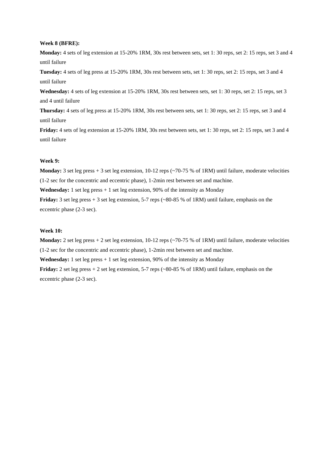#### **Week 8 (BFRE):**

**Monday:** 4 sets of leg extension at 15-20% 1RM, 30s rest between sets, set 1: 30 reps, set 2: 15 reps, set 3 and 4 until failure

**Tuesday:** 4 sets of leg press at 15-20% 1RM, 30s rest between sets, set 1: 30 reps, set 2: 15 reps, set 3 and 4 until failure

**Wednesday:** 4 sets of leg extension at 15-20% 1RM, 30s rest between sets, set 1: 30 reps, set 2: 15 reps, set 3 and 4 until failure

**Thursday:** 4 sets of leg press at 15-20% 1RM, 30s rest between sets, set 1: 30 reps, set 2: 15 reps, set 3 and 4 until failure

**Friday:** 4 sets of leg extension at 15-20% 1RM, 30s rest between sets, set 1: 30 reps, set 2: 15 reps, set 3 and 4 until failure

#### **Week 9:**

**Monday:** 3 set leg press + 3 set leg extension, 10-12 reps (~70-75 % of 1RM) until failure, moderate velocities (1-2 sec for the concentric and eccentric phase), 1-2min rest between set and machine.

**Wednesday:** 1 set leg press + 1 set leg extension, 90% of the intensity as Monday

**Friday:**  $3$  set leg press  $+3$  set leg extension,  $5-7$  reps ( $\sim 80-85$  % of 1RM) until failure, emphasis on the eccentric phase (2-3 sec).

#### **Week 10:**

**Monday:** 2 set leg press + 2 set leg extension, 10-12 reps (~70-75 % of 1RM) until failure, moderate velocities (1-2 sec for the concentric and eccentric phase), 1-2min rest between set and machine.

**Wednesday:** 1 set leg press + 1 set leg extension, 90% of the intensity as Monday

**Friday:** 2 set leg press + 2 set leg extension, 5-7 reps (~80-85 % of 1RM) until failure, emphasis on the eccentric phase (2-3 sec).